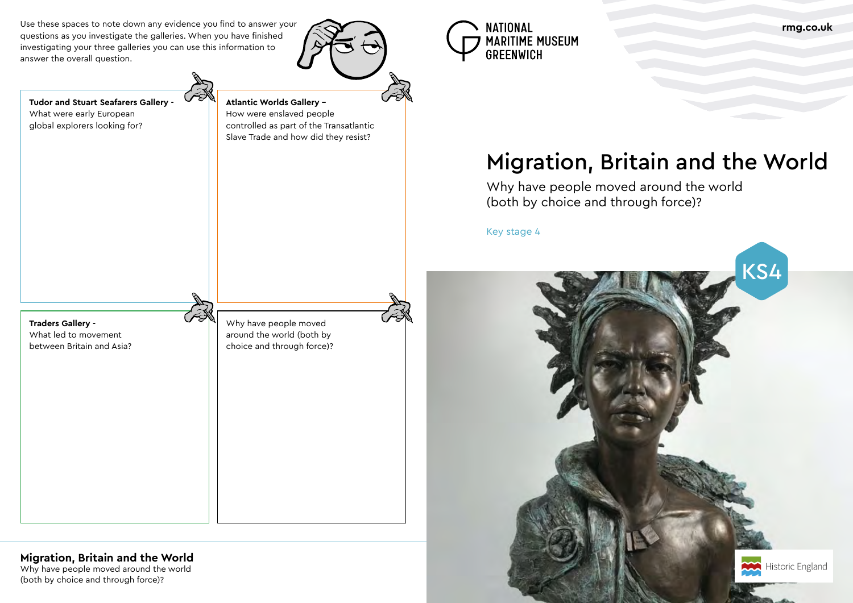Why have people moved around the world (both by choice and through force)?

Use these spaces to note down any evidence you find to answer your questions as you investigate the galleries. When you have finished investigating your three galleries you can use this information to answer the overall question.





# Migration, Britain and the World



Why have people moved around the world (both by choice and through force)?

Key stage 4

**Tudor and Stuart Seafarers Gallery -** 

What were early European global explorers looking for?

**Atlantic Worlds Gallery –** How were enslaved people

controlled as part of the Transatlantic Slave Trade and how did they resist?

**Traders Gallery -**  What led to movement

between Britain and Asia?

**Migration, Britain and the World** 

Why have people moved around the world (both by choice and through force)?

# **rmg.co.uk**